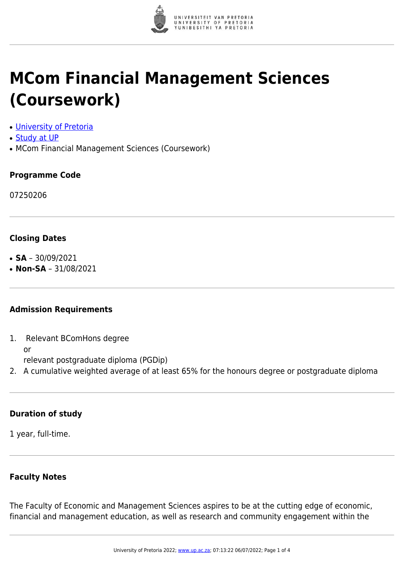

# **MCom Financial Management Sciences (Coursework)**

- [University of Pretoria](https://www.up.ac.za/home)
- [Study at UP](https://www.up.ac.za/programmes)
- MCom Financial Management Sciences (Coursework)

### **Programme Code**

07250206

#### **Closing Dates**

- $\cdot$  **SA** 30/09/2021
- **Non-SA** 31/08/2021

#### **Admission Requirements**

1. Relevant BComHons degree or

relevant postgraduate diploma (PGDip)

2. A cumulative weighted average of at least 65% for the honours degree or postgraduate diploma

#### **Duration of study**

1 year, full-time.

# **Faculty Notes**

The Faculty of Economic and Management Sciences aspires to be at the cutting edge of economic, financial and management education, as well as research and community engagement within the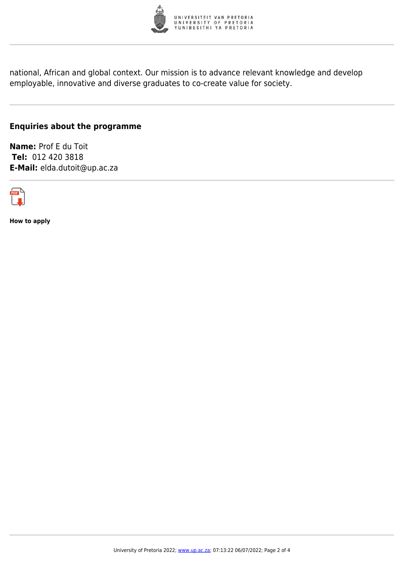

national, African and global context. Our mission is to advance relevant knowledge and develop employable, innovative and diverse graduates to co-create value for society.

# **Enquiries about the programme**

**Name:** Prof E du Toit **Tel:** 012 420 3818 **E-Mail:** elda.dutoit@up.ac.za



**How to apply**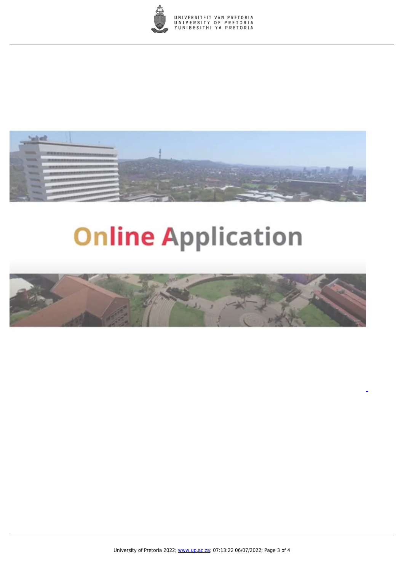



# **Online Application**